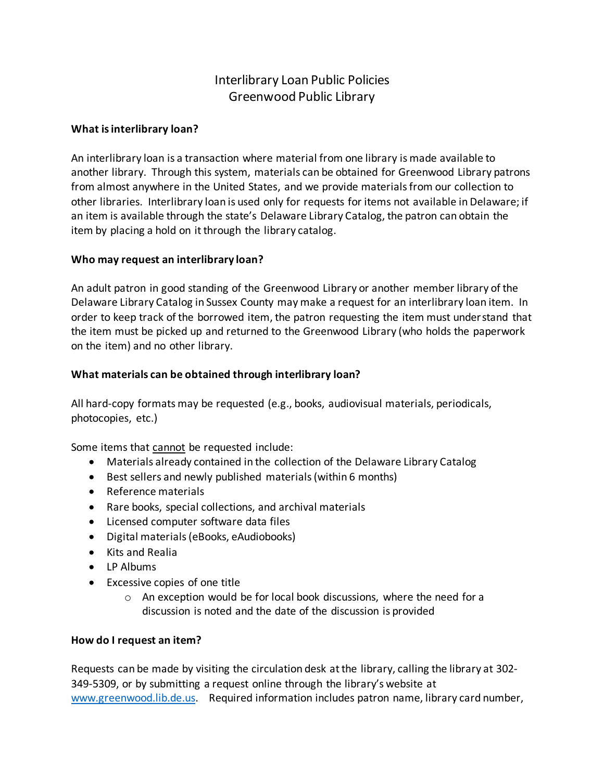# Interlibrary Loan Public Policies Greenwood Public Library

## **What is interlibrary loan?**

An interlibrary loan is a transaction where material from one library is made available to another library. Through this system, materials can be obtained for Greenwood Library patrons from almost anywhere in the United States, and we provide materials from our collection to other libraries. Interlibrary loan is used only for requests for items not available in Delaware; if an item is available through the state's Delaware Library Catalog, the patron can obtain the item by placing a hold on it through the library catalog.

## **Who may request an interlibrary loan?**

An adult patron in good standing of the Greenwood Library or another member library of the Delaware Library Catalog in Sussex County may make a request for an interlibrary loan item. In order to keep track of the borrowed item, the patron requesting the item must understand that the item must be picked up and returned to the Greenwood Library (who holds the paperwork on the item) and no other library.

## **What materials can be obtained through interlibrary loan?**

All hard-copy formats may be requested (e.g., books, audiovisual materials, periodicals, photocopies, etc.)

Some items that cannot be requested include:

- Materials already contained in the collection of the Delaware Library Catalog
- Best sellers and newly published materials (within 6 months)
- Reference materials
- Rare books, special collections, and archival materials
- Licensed computer software data files
- Digital materials (eBooks, eAudiobooks)
- Kits and Realia
- LP Albums
- Excessive copies of one title
	- o An exception would be for local book discussions, where the need for a discussion is noted and the date of the discussion is provided

## **How do I request an item?**

Requests can be made by visiting the circulation desk at the library, calling the library at 302- 349-5309, or by submitting a request online through the library's website at www.greenwood.lib.de.us. Required information includes patron name, library card number,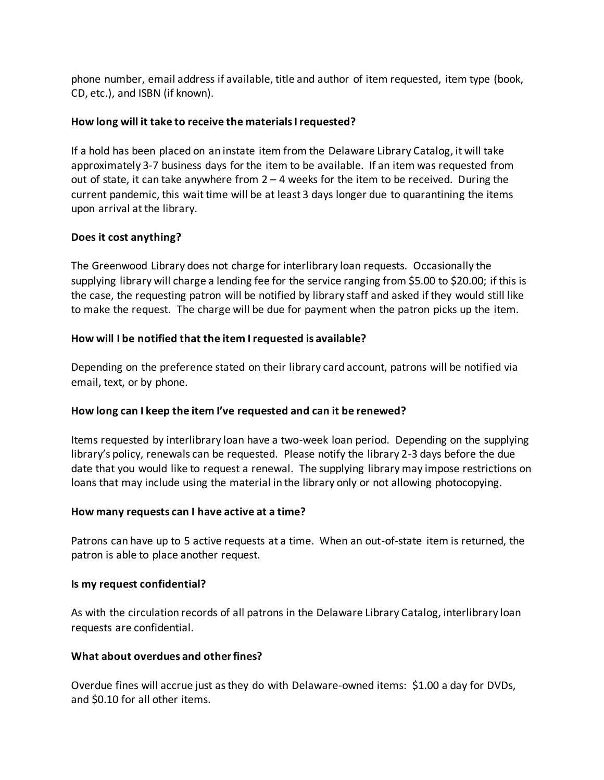phone number, email address if available, title and author of item requested, item type (book, CD, etc.), and ISBN (if known).

# **How long will it take to receive the materials I requested?**

If a hold has been placed on an instate item from the Delaware Library Catalog, it will take approximately 3-7 business days for the item to be available. If an item was requested from out of state, it can take anywhere from  $2 - 4$  weeks for the item to be received. During the current pandemic, this wait time will be at least 3 days longer due to quarantining the items upon arrival at the library.

## **Does it cost anything?**

The Greenwood Library does not charge for interlibrary loan requests. Occasionally the supplying library will charge a lending fee for the service ranging from \$5.00 to \$20.00; if this is the case, the requesting patron will be notified by library staff and asked if they would still like to make the request. The charge will be due for payment when the patron picks up the item.

# **How will I be notified that the item I requested is available?**

Depending on the preference stated on their library card account, patrons will be notified via email, text, or by phone.

# **How long can I keep the item I've requested and can it be renewed?**

Items requested by interlibrary loan have a two-week loan period. Depending on the supplying library's policy, renewals can be requested. Please notify the library 2-3 days before the due date that you would like to request a renewal. The supplying library may impose restrictions on loans that may include using the material in the library only or not allowing photocopying.

## **How many requests can I have active at a time?**

Patrons can have up to 5 active requests at a time. When an out-of-state item is returned, the patron is able to place another request.

## **Is my request confidential?**

As with the circulation records of all patrons in the Delaware Library Catalog, interlibrary loan requests are confidential.

## **What about overdues and other fines?**

Overdue fines will accrue just as they do with Delaware-owned items: \$1.00 a day for DVDs, and \$0.10 for all other items.